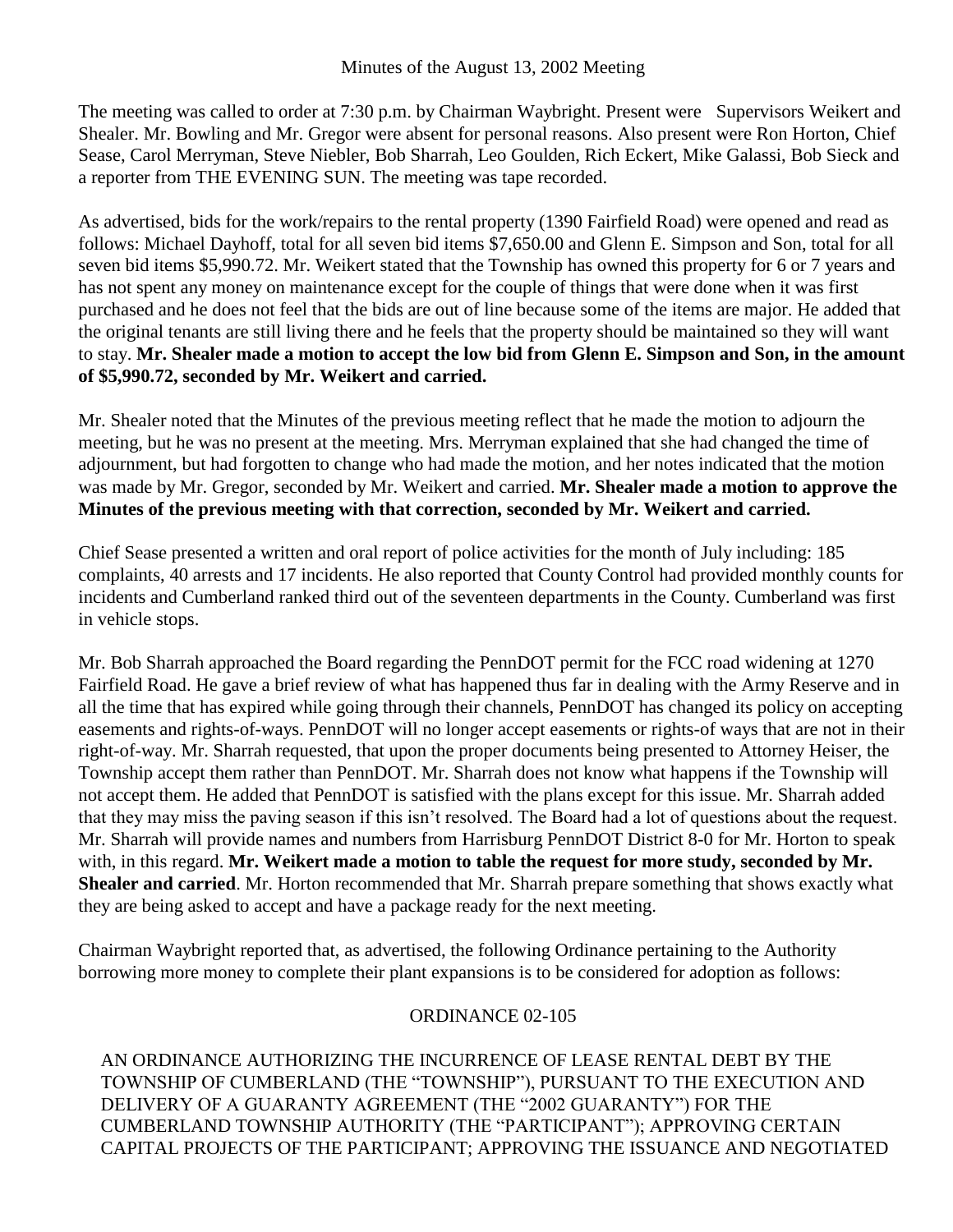The meeting was called to order at 7:30 p.m. by Chairman Waybright. Present were Supervisors Weikert and Shealer. Mr. Bowling and Mr. Gregor were absent for personal reasons. Also present were Ron Horton, Chief Sease, Carol Merryman, Steve Niebler, Bob Sharrah, Leo Goulden, Rich Eckert, Mike Galassi, Bob Sieck and a reporter from THE EVENING SUN. The meeting was tape recorded.

As advertised, bids for the work/repairs to the rental property (1390 Fairfield Road) were opened and read as follows: Michael Dayhoff, total for all seven bid items \$7,650.00 and Glenn E. Simpson and Son, total for all seven bid items \$5,990.72. Mr. Weikert stated that the Township has owned this property for 6 or 7 years and has not spent any money on maintenance except for the couple of things that were done when it was first purchased and he does not feel that the bids are out of line because some of the items are major. He added that the original tenants are still living there and he feels that the property should be maintained so they will want to stay. **Mr. Shealer made a motion to accept the low bid from Glenn E. Simpson and Son, in the amount of \$5,990.72, seconded by Mr. Weikert and carried.**

Mr. Shealer noted that the Minutes of the previous meeting reflect that he made the motion to adjourn the meeting, but he was no present at the meeting. Mrs. Merryman explained that she had changed the time of adjournment, but had forgotten to change who had made the motion, and her notes indicated that the motion was made by Mr. Gregor, seconded by Mr. Weikert and carried. **Mr. Shealer made a motion to approve the Minutes of the previous meeting with that correction, seconded by Mr. Weikert and carried.**

Chief Sease presented a written and oral report of police activities for the month of July including: 185 complaints, 40 arrests and 17 incidents. He also reported that County Control had provided monthly counts for incidents and Cumberland ranked third out of the seventeen departments in the County. Cumberland was first in vehicle stops.

Mr. Bob Sharrah approached the Board regarding the PennDOT permit for the FCC road widening at 1270 Fairfield Road. He gave a brief review of what has happened thus far in dealing with the Army Reserve and in all the time that has expired while going through their channels, PennDOT has changed its policy on accepting easements and rights-of-ways. PennDOT will no longer accept easements or rights-of ways that are not in their right-of-way. Mr. Sharrah requested, that upon the proper documents being presented to Attorney Heiser, the Township accept them rather than PennDOT. Mr. Sharrah does not know what happens if the Township will not accept them. He added that PennDOT is satisfied with the plans except for this issue. Mr. Sharrah added that they may miss the paving season if this isn't resolved. The Board had a lot of questions about the request. Mr. Sharrah will provide names and numbers from Harrisburg PennDOT District 8-0 for Mr. Horton to speak with, in this regard. Mr. Weikert made a motion to table the request for more study, seconded by Mr. **Shealer and carried**. Mr. Horton recommended that Mr. Sharrah prepare something that shows exactly what they are being asked to accept and have a package ready for the next meeting.

Chairman Waybright reported that, as advertised, the following Ordinance pertaining to the Authority borrowing more money to complete their plant expansions is to be considered for adoption as follows:

## ORDINANCE 02-105

AN ORDINANCE AUTHORIZING THE INCURRENCE OF LEASE RENTAL DEBT BY THE TOWNSHIP OF CUMBERLAND (THE "TOWNSHIP"), PURSUANT TO THE EXECUTION AND DELIVERY OF A GUARANTY AGREEMENT (THE "2002 GUARANTY") FOR THE CUMBERLAND TOWNSHIP AUTHORITY (THE "PARTICIPANT"); APPROVING CERTAIN CAPITAL PROJECTS OF THE PARTICIPANT; APPROVING THE ISSUANCE AND NEGOTIATED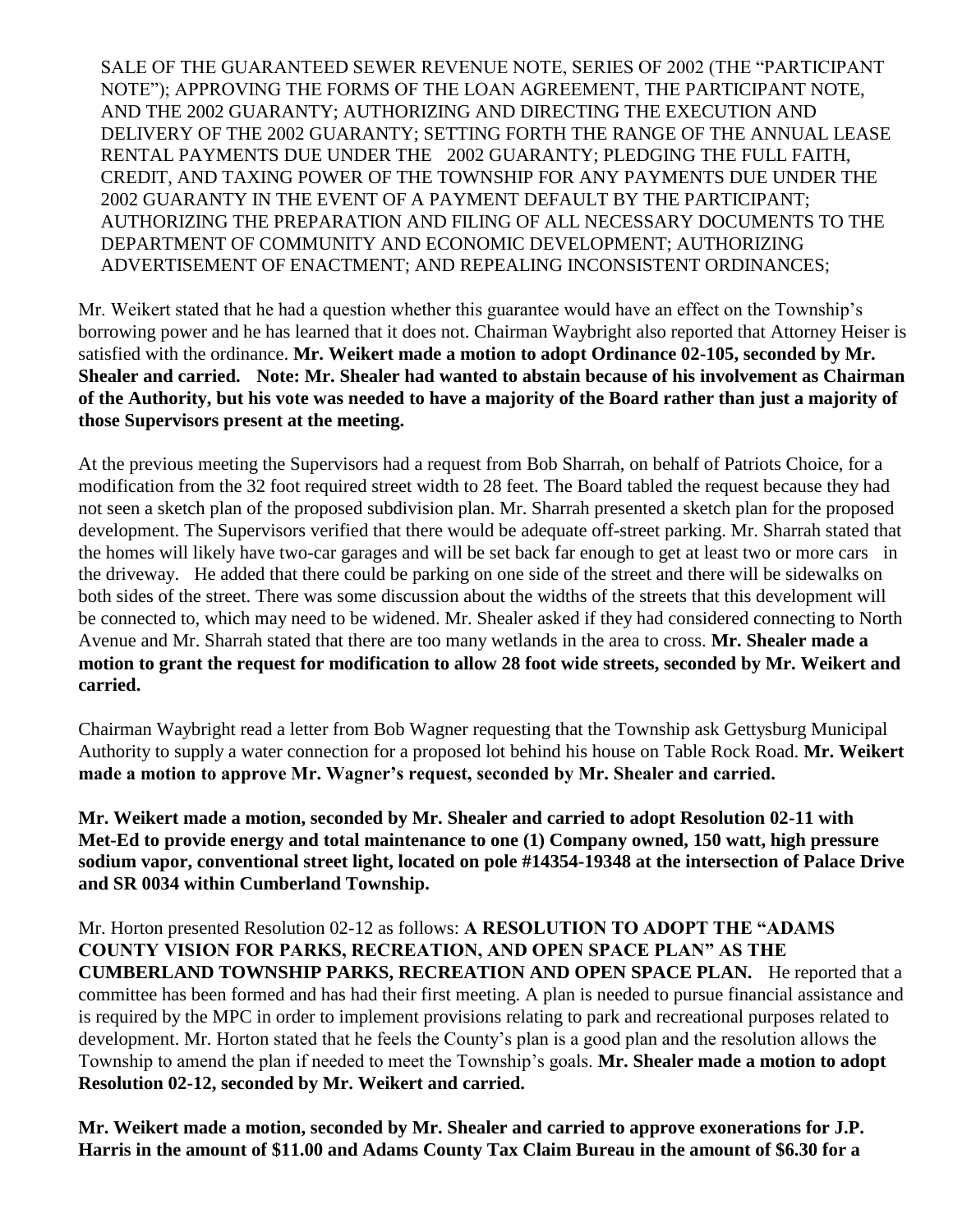SALE OF THE GUARANTEED SEWER REVENUE NOTE, SERIES OF 2002 (THE "PARTICIPANT NOTE"); APPROVING THE FORMS OF THE LOAN AGREEMENT, THE PARTICIPANT NOTE, AND THE 2002 GUARANTY; AUTHORIZING AND DIRECTING THE EXECUTION AND DELIVERY OF THE 2002 GUARANTY; SETTING FORTH THE RANGE OF THE ANNUAL LEASE RENTAL PAYMENTS DUE UNDER THE 2002 GUARANTY; PLEDGING THE FULL FAITH, CREDIT, AND TAXING POWER OF THE TOWNSHIP FOR ANY PAYMENTS DUE UNDER THE 2002 GUARANTY IN THE EVENT OF A PAYMENT DEFAULT BY THE PARTICIPANT; AUTHORIZING THE PREPARATION AND FILING OF ALL NECESSARY DOCUMENTS TO THE DEPARTMENT OF COMMUNITY AND ECONOMIC DEVELOPMENT; AUTHORIZING ADVERTISEMENT OF ENACTMENT; AND REPEALING INCONSISTENT ORDINANCES;

Mr. Weikert stated that he had a question whether this guarantee would have an effect on the Township's borrowing power and he has learned that it does not. Chairman Waybright also reported that Attorney Heiser is satisfied with the ordinance. **Mr. Weikert made a motion to adopt Ordinance 02-105, seconded by Mr. Shealer and carried. Note: Mr. Shealer had wanted to abstain because of his involvement as Chairman of the Authority, but his vote was needed to have a majority of the Board rather than just a majority of those Supervisors present at the meeting.** 

At the previous meeting the Supervisors had a request from Bob Sharrah, on behalf of Patriots Choice, for a modification from the 32 foot required street width to 28 feet. The Board tabled the request because they had not seen a sketch plan of the proposed subdivision plan. Mr. Sharrah presented a sketch plan for the proposed development. The Supervisors verified that there would be adequate off-street parking. Mr. Sharrah stated that the homes will likely have two-car garages and will be set back far enough to get at least two or more cars in the driveway. He added that there could be parking on one side of the street and there will be sidewalks on both sides of the street. There was some discussion about the widths of the streets that this development will be connected to, which may need to be widened. Mr. Shealer asked if they had considered connecting to North Avenue and Mr. Sharrah stated that there are too many wetlands in the area to cross. **Mr. Shealer made a motion to grant the request for modification to allow 28 foot wide streets, seconded by Mr. Weikert and carried.**

Chairman Waybright read a letter from Bob Wagner requesting that the Township ask Gettysburg Municipal Authority to supply a water connection for a proposed lot behind his house on Table Rock Road. **Mr. Weikert made a motion to approve Mr. Wagner's request, seconded by Mr. Shealer and carried.**

**Mr. Weikert made a motion, seconded by Mr. Shealer and carried to adopt Resolution 02-11 with Met-Ed to provide energy and total maintenance to one (1) Company owned, 150 watt, high pressure sodium vapor, conventional street light, located on pole #14354-19348 at the intersection of Palace Drive and SR 0034 within Cumberland Township.**

Mr. Horton presented Resolution 02-12 as follows: **A RESOLUTION TO ADOPT THE "ADAMS COUNTY VISION FOR PARKS, RECREATION, AND OPEN SPACE PLAN" AS THE CUMBERLAND TOWNSHIP PARKS, RECREATION AND OPEN SPACE PLAN.** He reported that a committee has been formed and has had their first meeting. A plan is needed to pursue financial assistance and is required by the MPC in order to implement provisions relating to park and recreational purposes related to development. Mr. Horton stated that he feels the County's plan is a good plan and the resolution allows the Township to amend the plan if needed to meet the Township's goals. **Mr. Shealer made a motion to adopt Resolution 02-12, seconded by Mr. Weikert and carried.**

**Mr. Weikert made a motion, seconded by Mr. Shealer and carried to approve exonerations for J.P. Harris in the amount of \$11.00 and Adams County Tax Claim Bureau in the amount of \$6.30 for a**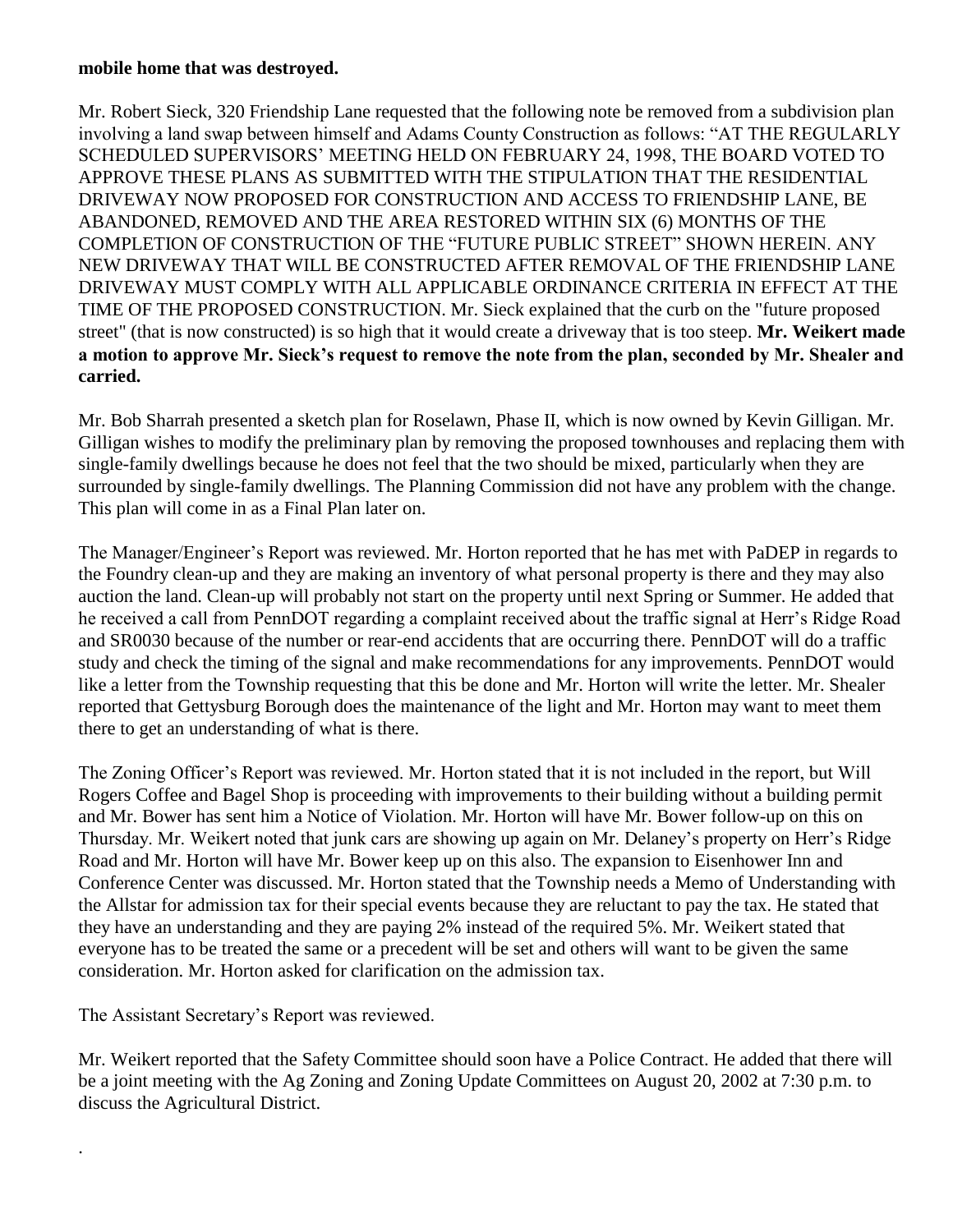## **mobile home that was destroyed.**

Mr. Robert Sieck, 320 Friendship Lane requested that the following note be removed from a subdivision plan involving a land swap between himself and Adams County Construction as follows: "AT THE REGULARLY SCHEDULED SUPERVISORS' MEETING HELD ON FEBRUARY 24, 1998, THE BOARD VOTED TO APPROVE THESE PLANS AS SUBMITTED WITH THE STIPULATION THAT THE RESIDENTIAL DRIVEWAY NOW PROPOSED FOR CONSTRUCTION AND ACCESS TO FRIENDSHIP LANE, BE ABANDONED, REMOVED AND THE AREA RESTORED WITHIN SIX (6) MONTHS OF THE COMPLETION OF CONSTRUCTION OF THE "FUTURE PUBLIC STREET" SHOWN HEREIN. ANY NEW DRIVEWAY THAT WILL BE CONSTRUCTED AFTER REMOVAL OF THE FRIENDSHIP LANE DRIVEWAY MUST COMPLY WITH ALL APPLICABLE ORDINANCE CRITERIA IN EFFECT AT THE TIME OF THE PROPOSED CONSTRUCTION. Mr. Sieck explained that the curb on the "future proposed street" (that is now constructed) is so high that it would create a driveway that is too steep. **Mr. Weikert made a motion to approve Mr. Sieck's request to remove the note from the plan, seconded by Mr. Shealer and carried.** 

Mr. Bob Sharrah presented a sketch plan for Roselawn, Phase II, which is now owned by Kevin Gilligan. Mr. Gilligan wishes to modify the preliminary plan by removing the proposed townhouses and replacing them with single-family dwellings because he does not feel that the two should be mixed, particularly when they are surrounded by single-family dwellings. The Planning Commission did not have any problem with the change. This plan will come in as a Final Plan later on.

The Manager/Engineer's Report was reviewed. Mr. Horton reported that he has met with PaDEP in regards to the Foundry clean-up and they are making an inventory of what personal property is there and they may also auction the land. Clean-up will probably not start on the property until next Spring or Summer. He added that he received a call from PennDOT regarding a complaint received about the traffic signal at Herr's Ridge Road and SR0030 because of the number or rear-end accidents that are occurring there. PennDOT will do a traffic study and check the timing of the signal and make recommendations for any improvements. PennDOT would like a letter from the Township requesting that this be done and Mr. Horton will write the letter. Mr. Shealer reported that Gettysburg Borough does the maintenance of the light and Mr. Horton may want to meet them there to get an understanding of what is there.

The Zoning Officer's Report was reviewed. Mr. Horton stated that it is not included in the report, but Will Rogers Coffee and Bagel Shop is proceeding with improvements to their building without a building permit and Mr. Bower has sent him a Notice of Violation. Mr. Horton will have Mr. Bower follow-up on this on Thursday. Mr. Weikert noted that junk cars are showing up again on Mr. Delaney's property on Herr's Ridge Road and Mr. Horton will have Mr. Bower keep up on this also. The expansion to Eisenhower Inn and Conference Center was discussed. Mr. Horton stated that the Township needs a Memo of Understanding with the Allstar for admission tax for their special events because they are reluctant to pay the tax. He stated that they have an understanding and they are paying 2% instead of the required 5%. Mr. Weikert stated that everyone has to be treated the same or a precedent will be set and others will want to be given the same consideration. Mr. Horton asked for clarification on the admission tax.

The Assistant Secretary's Report was reviewed.

.

Mr. Weikert reported that the Safety Committee should soon have a Police Contract. He added that there will be a joint meeting with the Ag Zoning and Zoning Update Committees on August 20, 2002 at 7:30 p.m. to discuss the Agricultural District.